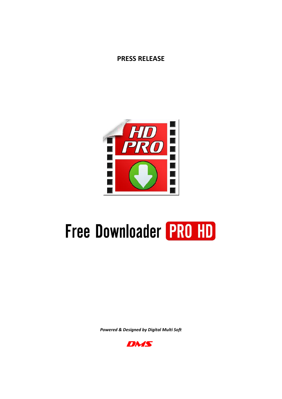# **PRESS RELEASE**



# **Free Downloader PRO HD**

*Powered & Designed by Digital Multi Soft*

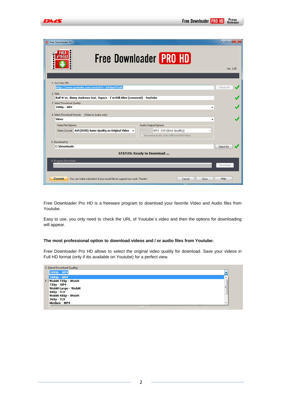| Free Downloader Pro<br>H                                                                | $\mathbf{x}$<br><b>The State of the Auto</b><br><b>Free Downloader PRO HD</b> |
|-----------------------------------------------------------------------------------------|-------------------------------------------------------------------------------|
|                                                                                         | Ver. 1.00                                                                     |
| 1. YouTube URL:                                                                         |                                                                               |
| http://www.youtube.com/watch?v=JxEMpuP2a0c                                              | Check Url                                                                     |
| 2. Title:                                                                               |                                                                               |
| Ralf M vs. Jimmy Andrews feat. Topazz - I'm Still Alive (censored) - YouTube            |                                                                               |
| 3. Select Download Quality:<br>1080p - MP4                                              |                                                                               |
|                                                                                         |                                                                               |
| 4. Select Download Format: (Video or Audio only)                                        |                                                                               |
| Video                                                                                   |                                                                               |
| <b>Video File Options</b>                                                               | <b>Audio Output Options</b>                                                   |
| Video Convert AVi (XVID) Same Quality as Original Video                                 | MP3 320 (Best Quality)<br>Format                                              |
|                                                                                         | V Normalize Audio (Only MP3 and WAV files)                                    |
| 5. Download to:                                                                         |                                                                               |
| <b>C:\Downloads</b>                                                                     | Select Dir                                                                    |
|                                                                                         | <b>STATUS: Ready to Download </b>                                             |
|                                                                                         |                                                                               |
| 6. Progress Download::                                                                  | Download                                                                      |
|                                                                                         |                                                                               |
| <b>Donate</b><br>You can make a donation if you would like to support our work. Thanks! | Help<br>Close<br>Cancel                                                       |

Free Downloader Pro HD is a freeware program to download your favorite Video and Audio files from Youtube.

Easy to use, you only need to check the URL of Youtube´s video and then the options for downloading will appear.

#### **The most professional option to download videos and / or audio files from Youtube:**

Free Downloader Pro HD allows to select the original video quality for download. Save your videos in Full HD format (only if itis available on Youtube) for a perfect view.

| 1080p - MP4              |  |
|--------------------------|--|
| 1080p - MP4              |  |
| 4. SWebM 720p - WebM     |  |
| 720p - MP4               |  |
| <b>WebM Large - WebM</b> |  |
| 480p - FLV               |  |
| WebM 480p - WebM         |  |
| 360p - FLV               |  |
| <b>Medium - MP4</b>      |  |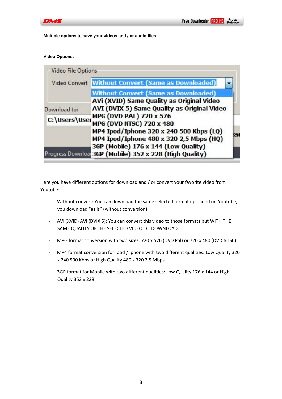

**Multiple options to save your videos and / or audio files:**

**Video Options:**

| <b>Video File Options</b> |                                                         |
|---------------------------|---------------------------------------------------------|
|                           | Video Convert Without Convert (Same as Downloaded)      |
|                           | <b>Without Convert (Same as Downloaded)</b>             |
|                           | AVi (XVID) Same Quality as Original Video               |
| Download to:              | AVI (DVIX 5) Same Quality as Original Video             |
| C:\Users\User             | <b>MPG (DVD PAL) 720 x 576</b>                          |
|                           | <b>MPG (DVD NTSC) 720 x 480</b>                         |
|                           | MP4 Ipod/Iphone 320 x 240 500 Kbps (LQ)                 |
|                           | MP4 Ipod/Iphone 480 x 320 2,5 Mbps (HQ)                 |
|                           | 3GP (Mobile) 176 x 144 (Low Quality)                    |
|                           | Progress Download 3GP (Mobile) 352 x 228 (High Quality) |

Here you have different options for download and / or convert your favorite video from Youtube:

- Without convert: You can download the same selected format uploaded on Youtube, you download "as is" (without conversion).
- AVI (XVID) AVI (DVIX 5): You can convert this video to those formats but WITH THE SAME QUALITY OF THE SELECTED VIDEO TO DOWNLOAD.
- MPG format conversion with two sizes: 720 x 576 (DVD Pal) or 720 x 480 (DVD NTSC).
- MP4 format conversion for Ipod / Iphone with two different qualities: Low Quality 320 x 240 500 Kbps or High Quality 480 x 320 2,5 Mbps.
- 3GP format for Mobile with two different qualities: Low Quality 176 x 144 or High Quality 352 x 228.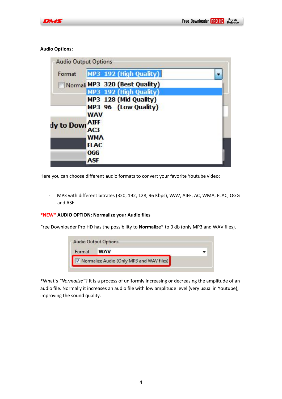## **Audio Options:**

| <b>Audio Output Options</b> |                                                             |  |
|-----------------------------|-------------------------------------------------------------|--|
| Format                      | MP3 192 (High Quality)                                      |  |
|                             | Normali MP3 320 (Best Quality)                              |  |
|                             | MP3 192 (High Quality)                                      |  |
|                             | MP3 128 (Mid Quality)<br>MP3 96 (Low Quality)<br><b>WAV</b> |  |
| dy to Dowl AIFF             | AC3                                                         |  |
|                             | WMA<br><b>FLAC</b><br><b>OGG</b>                            |  |
|                             | ASF                                                         |  |

Here you can choose different audio formats to convert your favorite Youtube video:

- MP3 with different bitrates (320, 192, 128, 96 Kbps), WAV, AIFF, AC, WMA, FLAC, OGG and ASF.

## **\*NEW\* AUDIO OPTION: Normalize your Audio files**

Free Downloader Pro HD has the possibility to **Normalize**\* to 0 db (only MP3 and WAV files).

| Format | <b>WAV</b>                                 |  |
|--------|--------------------------------------------|--|
|        | V Normalize Audio (Only MP3 and WAV files) |  |

\*What´s *"Normalize"*? It is a process of uniformly increasing or decreasing the amplitude of an audio file. Normally it increases an audio file with low amplitude level (very usual in Youtube), improving the sound quality.